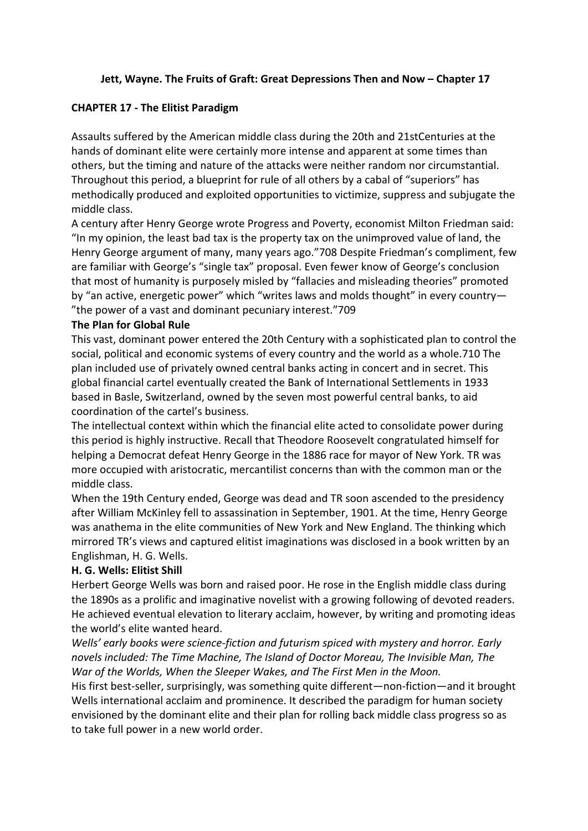## **Jett, Wayne. The Fruits of Graft: Great Depressions Then and Now – Chapter 17**

## **CHAPTER 17 - The Elitist Paradigm**

Assaults suffered by the American middle class during the 20th and 21stCenturies at the hands of dominant elite were certainly more intense and apparent at some times than others, but the timing and nature of the attacks were neither random nor circumstantial. Throughout this period, a blueprint for rule of all others by a cabal of "superiors" has methodically produced and exploited opportunities to victimize, suppress and subjugate the middle class.

A century after Henry George wrote Progress and Poverty, economist Milton Friedman said: "In my opinion, the least bad tax is the property tax on the unimproved value of land, the Henry George argument of many, many years ago."708 Despite Friedman's compliment, few are familiar with George's "single tax" proposal. Even fewer know of George's conclusion that most of humanity is purposely misled by "fallacies and misleading theories" promoted by "an active, energetic power" which "writes laws and molds thought" in every country— "the power of a vast and dominant pecuniary interest."709

## **The Plan for Global Rule**

This vast, dominant power entered the 20th Century with a sophisticated plan to control the social, political and economic systems of every country and the world as a whole.710 The plan included use of privately owned central banks acting in concert and in secret. This global financial cartel eventually created the Bank of International Settlements in 1933 based in Basle, Switzerland, owned by the seven most powerful central banks, to aid coordination of the cartel's business.

The intellectual context within which the financial elite acted to consolidate power during this period is highly instructive. Recall that Theodore Roosevelt congratulated himself for helping a Democrat defeat Henry George in the 1886 race for mayor of New York. TR was more occupied with aristocratic, mercantilist concerns than with the common man or the middle class.

When the 19th Century ended, George was dead and TR soon ascended to the presidency after William McKinley fell to assassination in September, 1901. At the time, Henry George was anathema in the elite communities of New York and New England. The thinking which mirrored TR's views and captured elitist imaginations was disclosed in a book written by an Englishman, H. G. Wells.

# **H. G. Wells: Elitist Shill**

Herbert George Wells was born and raised poor. He rose in the English middle class during the 1890s as a prolific and imaginative novelist with a growing following of devoted readers. He achieved eventual elevation to literary acclaim, however, by writing and promoting ideas the world's elite wanted heard.

*Wells' early books were science-fiction and futurism spiced with mystery and horror. Early novels included: The Time Machine, The Island of Doctor Moreau, The Invisible Man, The War of the Worlds, When the Sleeper Wakes, and The First Men in the Moon.* 

His first best-seller, surprisingly, was something quite different—non-fiction—and it brought Wells international acclaim and prominence. It described the paradigm for human society envisioned by the dominant elite and their plan for rolling back middle class progress so as to take full power in a new world order.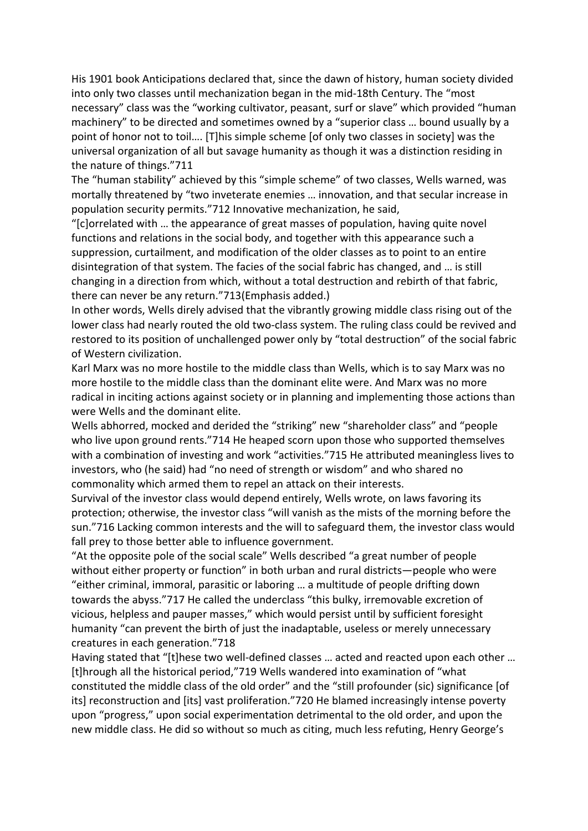His 1901 book Anticipations declared that, since the dawn of history, human society divided into only two classes until mechanization began in the mid-18th Century. The "most necessary" class was the "working cultivator, peasant, surf or slave" which provided "human machinery" to be directed and sometimes owned by a "superior class … bound usually by a point of honor not to toil…. [T]his simple scheme [of only two classes in society] was the universal organization of all but savage humanity as though it was a distinction residing in the nature of things."711

The "human stability" achieved by this "simple scheme" of two classes, Wells warned, was mortally threatened by "two inveterate enemies … innovation, and that secular increase in population security permits."712 Innovative mechanization, he said,

"[c]orrelated with … the appearance of great masses of population, having quite novel functions and relations in the social body, and together with this appearance such a suppression, curtailment, and modification of the older classes as to point to an entire disintegration of that system. The facies of the social fabric has changed, and … is still changing in a direction from which, without a total destruction and rebirth of that fabric, there can never be any return."713(Emphasis added.)

In other words, Wells direly advised that the vibrantly growing middle class rising out of the lower class had nearly routed the old two-class system. The ruling class could be revived and restored to its position of unchallenged power only by "total destruction" of the social fabric of Western civilization.

Karl Marx was no more hostile to the middle class than Wells, which is to say Marx was no more hostile to the middle class than the dominant elite were. And Marx was no more radical in inciting actions against society or in planning and implementing those actions than were Wells and the dominant elite.

Wells abhorred, mocked and derided the "striking" new "shareholder class" and "people who live upon ground rents."714 He heaped scorn upon those who supported themselves with a combination of investing and work "activities."715 He attributed meaningless lives to investors, who (he said) had "no need of strength or wisdom" and who shared no commonality which armed them to repel an attack on their interests.

Survival of the investor class would depend entirely, Wells wrote, on laws favoring its protection; otherwise, the investor class "will vanish as the mists of the morning before the sun."716 Lacking common interests and the will to safeguard them, the investor class would fall prey to those better able to influence government.

"At the opposite pole of the social scale" Wells described "a great number of people without either property or function" in both urban and rural districts—people who were "either criminal, immoral, parasitic or laboring … a multitude of people drifting down towards the abyss."717 He called the underclass "this bulky, irremovable excretion of vicious, helpless and pauper masses," which would persist until by sufficient foresight humanity "can prevent the birth of just the inadaptable, useless or merely unnecessary creatures in each generation."718

Having stated that "[t]hese two well-defined classes … acted and reacted upon each other … [t]hrough all the historical period,"719 Wells wandered into examination of "what constituted the middle class of the old order" and the "still profounder (sic) significance [of its] reconstruction and [its] vast proliferation."720 He blamed increasingly intense poverty upon "progress," upon social experimentation detrimental to the old order, and upon the new middle class. He did so without so much as citing, much less refuting, Henry George's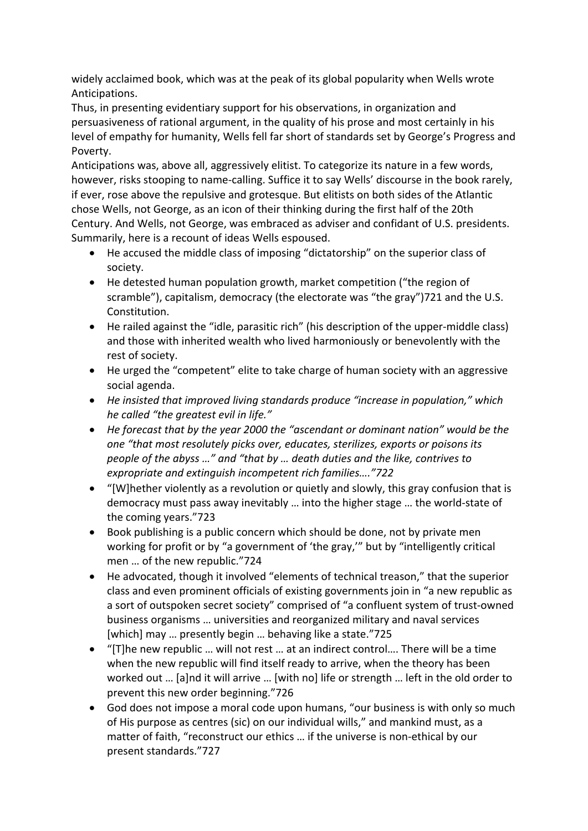widely acclaimed book, which was at the peak of its global popularity when Wells wrote Anticipations.

Thus, in presenting evidentiary support for his observations, in organization and persuasiveness of rational argument, in the quality of his prose and most certainly in his level of empathy for humanity, Wells fell far short of standards set by George's Progress and Poverty.

Anticipations was, above all, aggressively elitist. To categorize its nature in a few words, however, risks stooping to name-calling. Suffice it to say Wells' discourse in the book rarely, if ever, rose above the repulsive and grotesque. But elitists on both sides of the Atlantic chose Wells, not George, as an icon of their thinking during the first half of the 20th Century. And Wells, not George, was embraced as adviser and confidant of U.S. presidents. Summarily, here is a recount of ideas Wells espoused.

- He accused the middle class of imposing "dictatorship" on the superior class of society.
- He detested human population growth, market competition ("the region of scramble"), capitalism, democracy (the electorate was "the gray")721 and the U.S. Constitution.
- He railed against the "idle, parasitic rich" (his description of the upper-middle class) and those with inherited wealth who lived harmoniously or benevolently with the rest of society.
- He urged the "competent" elite to take charge of human society with an aggressive social agenda.
- *He insisted that improved living standards produce "increase in population," which he called "the greatest evil in life."*
- *He forecast that by the year 2000 the "ascendant or dominant nation" would be the one "that most resolutely picks over, educates, sterilizes, exports or poisons its people of the abyss …" and "that by … death duties and the like, contrives to expropriate and extinguish incompetent rich families…."722*
- "[W]hether violently as a revolution or quietly and slowly, this gray confusion that is democracy must pass away inevitably … into the higher stage … the world-state of the coming years."723
- Book publishing is a public concern which should be done, not by private men working for profit or by "a government of 'the gray,'" but by "intelligently critical men … of the new republic."724
- He advocated, though it involved "elements of technical treason," that the superior class and even prominent officials of existing governments join in "a new republic as a sort of outspoken secret society" comprised of "a confluent system of trust-owned business organisms … universities and reorganized military and naval services [which] may ... presently begin ... behaving like a state."725
- "[T]he new republic … will not rest … at an indirect control…. There will be a time when the new republic will find itself ready to arrive, when the theory has been worked out … [a]nd it will arrive … [with no] life or strength … left in the old order to prevent this new order beginning."726
- God does not impose a moral code upon humans, "our business is with only so much of His purpose as centres (sic) on our individual wills," and mankind must, as a matter of faith, "reconstruct our ethics … if the universe is non-ethical by our present standards."727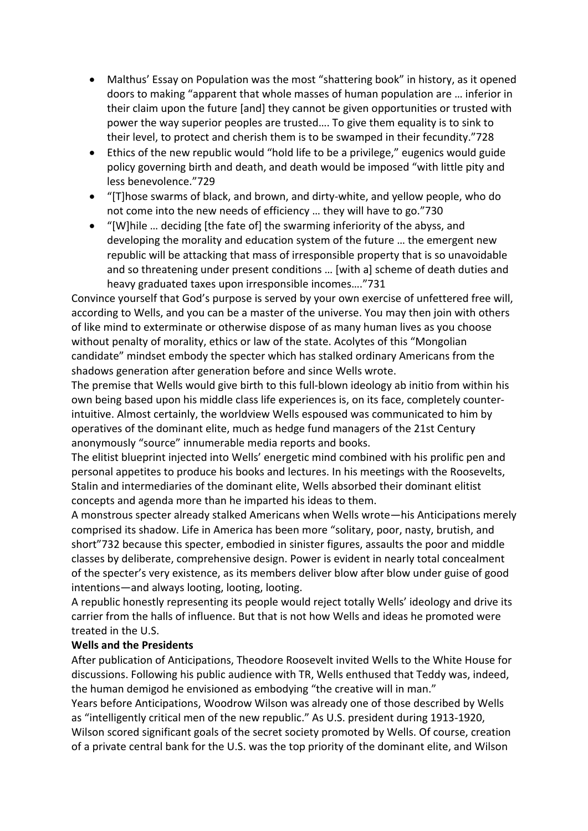- Malthus' Essay on Population was the most "shattering book" in history, as it opened doors to making "apparent that whole masses of human population are … inferior in their claim upon the future [and] they cannot be given opportunities or trusted with power the way superior peoples are trusted…. To give them equality is to sink to their level, to protect and cherish them is to be swamped in their fecundity."728
- Ethics of the new republic would "hold life to be a privilege," eugenics would guide policy governing birth and death, and death would be imposed "with little pity and less benevolence."729
- "[T]hose swarms of black, and brown, and dirty-white, and yellow people, who do not come into the new needs of efficiency … they will have to go."730
- "[W]hile … deciding [the fate of] the swarming inferiority of the abyss, and developing the morality and education system of the future … the emergent new republic will be attacking that mass of irresponsible property that is so unavoidable and so threatening under present conditions … [with a] scheme of death duties and heavy graduated taxes upon irresponsible incomes…."731

Convince yourself that God's purpose is served by your own exercise of unfettered free will, according to Wells, and you can be a master of the universe. You may then join with others of like mind to exterminate or otherwise dispose of as many human lives as you choose without penalty of morality, ethics or law of the state. Acolytes of this "Mongolian candidate" mindset embody the specter which has stalked ordinary Americans from the shadows generation after generation before and since Wells wrote.

The premise that Wells would give birth to this full-blown ideology ab initio from within his own being based upon his middle class life experiences is, on its face, completely counterintuitive. Almost certainly, the worldview Wells espoused was communicated to him by operatives of the dominant elite, much as hedge fund managers of the 21st Century anonymously "source" innumerable media reports and books.

The elitist blueprint injected into Wells' energetic mind combined with his prolific pen and personal appetites to produce his books and lectures. In his meetings with the Roosevelts, Stalin and intermediaries of the dominant elite, Wells absorbed their dominant elitist concepts and agenda more than he imparted his ideas to them.

A monstrous specter already stalked Americans when Wells wrote—his Anticipations merely comprised its shadow. Life in America has been more "solitary, poor, nasty, brutish, and short"732 because this specter, embodied in sinister figures, assaults the poor and middle classes by deliberate, comprehensive design. Power is evident in nearly total concealment of the specter's very existence, as its members deliver blow after blow under guise of good intentions—and always looting, looting, looting.

A republic honestly representing its people would reject totally Wells' ideology and drive its carrier from the halls of influence. But that is not how Wells and ideas he promoted were treated in the U.S.

# **Wells and the Presidents**

After publication of Anticipations, Theodore Roosevelt invited Wells to the White House for discussions. Following his public audience with TR, Wells enthused that Teddy was, indeed, the human demigod he envisioned as embodying "the creative will in man."

Years before Anticipations, Woodrow Wilson was already one of those described by Wells as "intelligently critical men of the new republic." As U.S. president during 1913-1920, Wilson scored significant goals of the secret society promoted by Wells. Of course, creation of a private central bank for the U.S. was the top priority of the dominant elite, and Wilson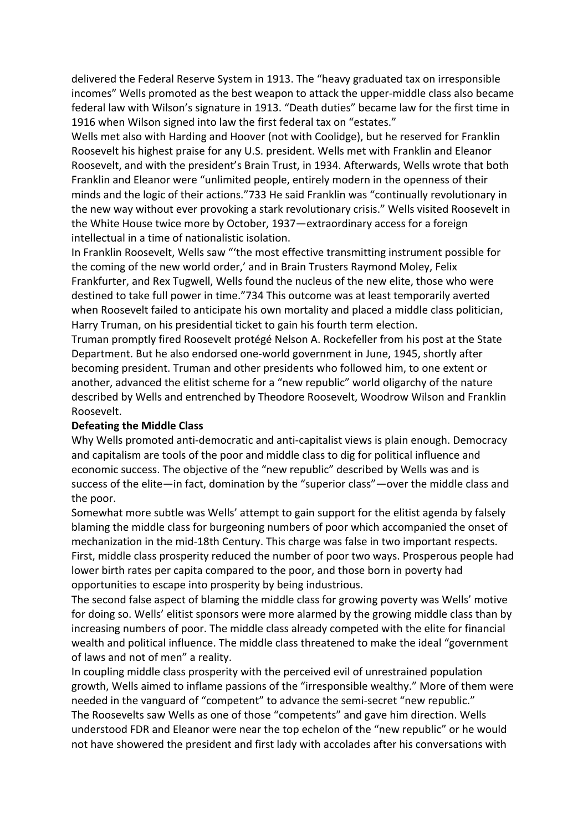delivered the Federal Reserve System in 1913. The "heavy graduated tax on irresponsible incomes" Wells promoted as the best weapon to attack the upper-middle class also became federal law with Wilson's signature in 1913. "Death duties" became law for the first time in 1916 when Wilson signed into law the first federal tax on "estates."

Wells met also with Harding and Hoover (not with Coolidge), but he reserved for Franklin Roosevelt his highest praise for any U.S. president. Wells met with Franklin and Eleanor Roosevelt, and with the president's Brain Trust, in 1934. Afterwards, Wells wrote that both Franklin and Eleanor were "unlimited people, entirely modern in the openness of their minds and the logic of their actions."733 He said Franklin was "continually revolutionary in the new way without ever provoking a stark revolutionary crisis." Wells visited Roosevelt in the White House twice more by October, 1937—extraordinary access for a foreign intellectual in a time of nationalistic isolation.

In Franklin Roosevelt, Wells saw "'the most effective transmitting instrument possible for the coming of the new world order,' and in Brain Trusters Raymond Moley, Felix Frankfurter, and Rex Tugwell, Wells found the nucleus of the new elite, those who were destined to take full power in time."734 This outcome was at least temporarily averted when Roosevelt failed to anticipate his own mortality and placed a middle class politician, Harry Truman, on his presidential ticket to gain his fourth term election.

Truman promptly fired Roosevelt protégé Nelson A. Rockefeller from his post at the State Department. But he also endorsed one-world government in June, 1945, shortly after becoming president. Truman and other presidents who followed him, to one extent or another, advanced the elitist scheme for a "new republic" world oligarchy of the nature described by Wells and entrenched by Theodore Roosevelt, Woodrow Wilson and Franklin Roosevelt.

#### **Defeating the Middle Class**

Why Wells promoted anti-democratic and anti-capitalist views is plain enough. Democracy and capitalism are tools of the poor and middle class to dig for political influence and economic success. The objective of the "new republic" described by Wells was and is success of the elite—in fact, domination by the "superior class"—over the middle class and the poor.

Somewhat more subtle was Wells' attempt to gain support for the elitist agenda by falsely blaming the middle class for burgeoning numbers of poor which accompanied the onset of mechanization in the mid-18th Century. This charge was false in two important respects. First, middle class prosperity reduced the number of poor two ways. Prosperous people had lower birth rates per capita compared to the poor, and those born in poverty had opportunities to escape into prosperity by being industrious.

The second false aspect of blaming the middle class for growing poverty was Wells' motive for doing so. Wells' elitist sponsors were more alarmed by the growing middle class than by increasing numbers of poor. The middle class already competed with the elite for financial wealth and political influence. The middle class threatened to make the ideal "government of laws and not of men" a reality.

In coupling middle class prosperity with the perceived evil of unrestrained population growth, Wells aimed to inflame passions of the "irresponsible wealthy." More of them were needed in the vanguard of "competent" to advance the semi-secret "new republic." The Roosevelts saw Wells as one of those "competents" and gave him direction. Wells understood FDR and Eleanor were near the top echelon of the "new republic" or he would not have showered the president and first lady with accolades after his conversations with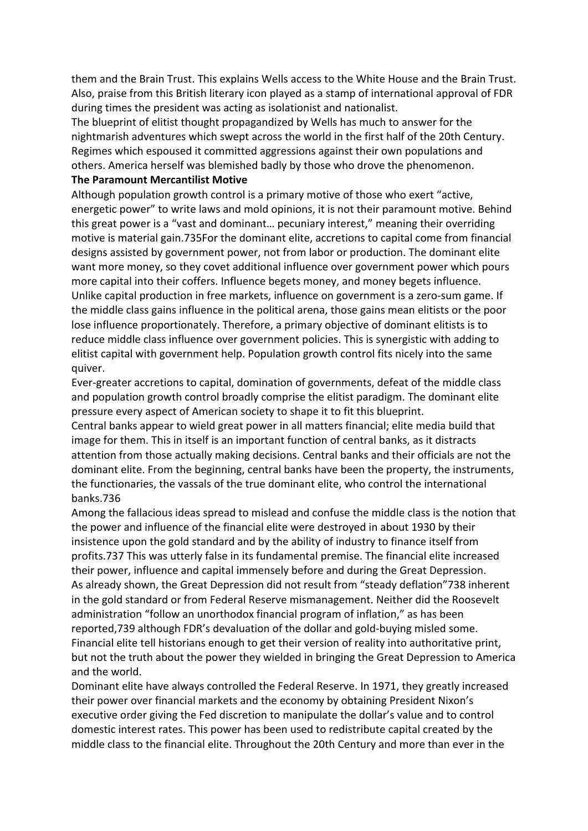them and the Brain Trust. This explains Wells access to the White House and the Brain Trust. Also, praise from this British literary icon played as a stamp of international approval of FDR during times the president was acting as isolationist and nationalist.

The blueprint of elitist thought propagandized by Wells has much to answer for the nightmarish adventures which swept across the world in the first half of the 20th Century. Regimes which espoused it committed aggressions against their own populations and others. America herself was blemished badly by those who drove the phenomenon.

### **The Paramount Mercantilist Motive**

Although population growth control is a primary motive of those who exert "active, energetic power" to write laws and mold opinions, it is not their paramount motive. Behind this great power is a "vast and dominant… pecuniary interest," meaning their overriding motive is material gain.735For the dominant elite, accretions to capital come from financial designs assisted by government power, not from labor or production. The dominant elite want more money, so they covet additional influence over government power which pours more capital into their coffers. Influence begets money, and money begets influence. Unlike capital production in free markets, influence on government is a zero-sum game. If the middle class gains influence in the political arena, those gains mean elitists or the poor lose influence proportionately. Therefore, a primary objective of dominant elitists is to reduce middle class influence over government policies. This is synergistic with adding to elitist capital with government help. Population growth control fits nicely into the same quiver.

Ever-greater accretions to capital, domination of governments, defeat of the middle class and population growth control broadly comprise the elitist paradigm. The dominant elite pressure every aspect of American society to shape it to fit this blueprint.

Central banks appear to wield great power in all matters financial; elite media build that image for them. This in itself is an important function of central banks, as it distracts attention from those actually making decisions. Central banks and their officials are not the dominant elite. From the beginning, central banks have been the property, the instruments, the functionaries, the vassals of the true dominant elite, who control the international banks.736

Among the fallacious ideas spread to mislead and confuse the middle class is the notion that the power and influence of the financial elite were destroyed in about 1930 by their insistence upon the gold standard and by the ability of industry to finance itself from profits.737 This was utterly false in its fundamental premise. The financial elite increased their power, influence and capital immensely before and during the Great Depression. As already shown, the Great Depression did not result from "steady deflation"738 inherent in the gold standard or from Federal Reserve mismanagement. Neither did the Roosevelt administration "follow an unorthodox financial program of inflation," as has been reported,739 although FDR's devaluation of the dollar and gold-buying misled some. Financial elite tell historians enough to get their version of reality into authoritative print, but not the truth about the power they wielded in bringing the Great Depression to America and the world.

Dominant elite have always controlled the Federal Reserve. In 1971, they greatly increased their power over financial markets and the economy by obtaining President Nixon's executive order giving the Fed discretion to manipulate the dollar's value and to control domestic interest rates. This power has been used to redistribute capital created by the middle class to the financial elite. Throughout the 20th Century and more than ever in the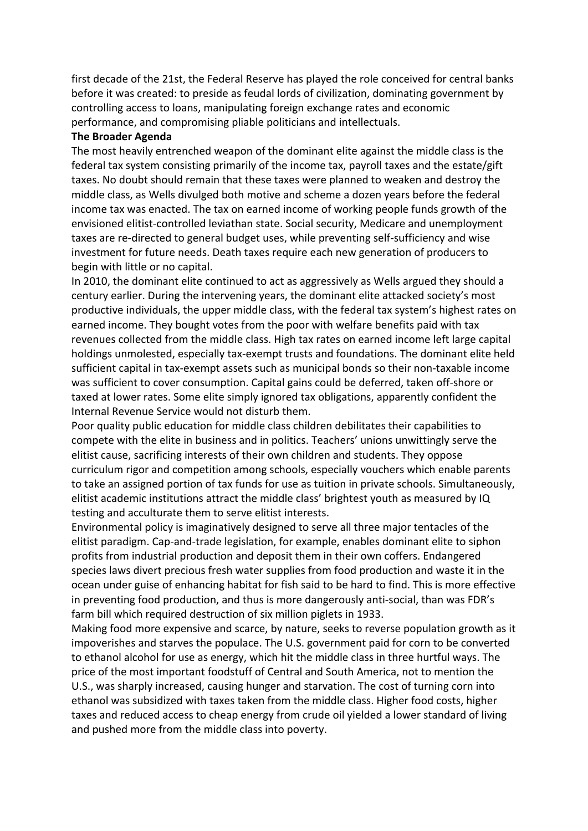first decade of the 21st, the Federal Reserve has played the role conceived for central banks before it was created: to preside as feudal lords of civilization, dominating government by controlling access to loans, manipulating foreign exchange rates and economic performance, and compromising pliable politicians and intellectuals.

#### **The Broader Agenda**

The most heavily entrenched weapon of the dominant elite against the middle class is the federal tax system consisting primarily of the income tax, payroll taxes and the estate/gift taxes. No doubt should remain that these taxes were planned to weaken and destroy the middle class, as Wells divulged both motive and scheme a dozen years before the federal income tax was enacted. The tax on earned income of working people funds growth of the envisioned elitist-controlled leviathan state. Social security, Medicare and unemployment taxes are re-directed to general budget uses, while preventing self-sufficiency and wise investment for future needs. Death taxes require each new generation of producers to begin with little or no capital.

In 2010, the dominant elite continued to act as aggressively as Wells argued they should a century earlier. During the intervening years, the dominant elite attacked society's most productive individuals, the upper middle class, with the federal tax system's highest rates on earned income. They bought votes from the poor with welfare benefits paid with tax revenues collected from the middle class. High tax rates on earned income left large capital holdings unmolested, especially tax-exempt trusts and foundations. The dominant elite held sufficient capital in tax-exempt assets such as municipal bonds so their non-taxable income was sufficient to cover consumption. Capital gains could be deferred, taken off-shore or taxed at lower rates. Some elite simply ignored tax obligations, apparently confident the Internal Revenue Service would not disturb them.

Poor quality public education for middle class children debilitates their capabilities to compete with the elite in business and in politics. Teachers' unions unwittingly serve the elitist cause, sacrificing interests of their own children and students. They oppose curriculum rigor and competition among schools, especially vouchers which enable parents to take an assigned portion of tax funds for use as tuition in private schools. Simultaneously, elitist academic institutions attract the middle class' brightest youth as measured by IQ testing and acculturate them to serve elitist interests.

Environmental policy is imaginatively designed to serve all three major tentacles of the elitist paradigm. Cap-and-trade legislation, for example, enables dominant elite to siphon profits from industrial production and deposit them in their own coffers. Endangered species laws divert precious fresh water supplies from food production and waste it in the ocean under guise of enhancing habitat for fish said to be hard to find. This is more effective in preventing food production, and thus is more dangerously anti-social, than was FDR's farm bill which required destruction of six million piglets in 1933.

Making food more expensive and scarce, by nature, seeks to reverse population growth as it impoverishes and starves the populace. The U.S. government paid for corn to be converted to ethanol alcohol for use as energy, which hit the middle class in three hurtful ways. The price of the most important foodstuff of Central and South America, not to mention the U.S., was sharply increased, causing hunger and starvation. The cost of turning corn into ethanol was subsidized with taxes taken from the middle class. Higher food costs, higher taxes and reduced access to cheap energy from crude oil yielded a lower standard of living and pushed more from the middle class into poverty.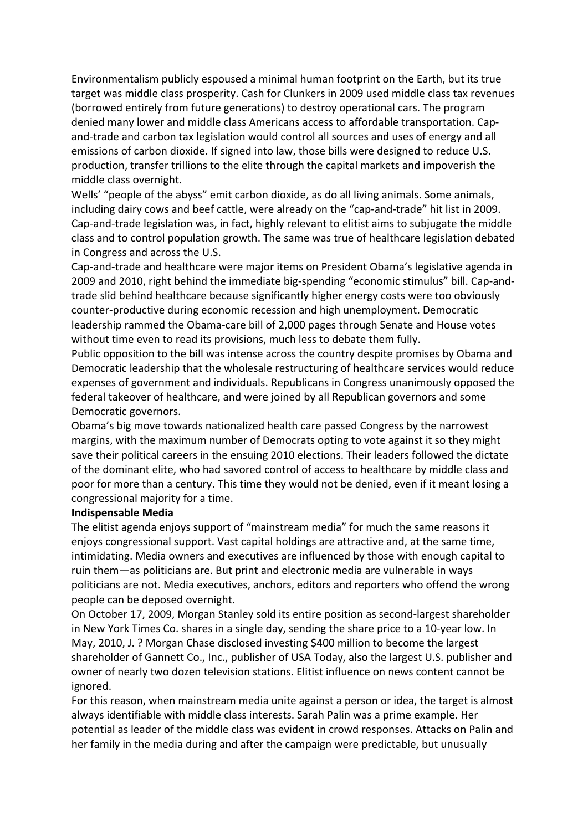Environmentalism publicly espoused a minimal human footprint on the Earth, but its true target was middle class prosperity. Cash for Clunkers in 2009 used middle class tax revenues (borrowed entirely from future generations) to destroy operational cars. The program denied many lower and middle class Americans access to affordable transportation. Capand-trade and carbon tax legislation would control all sources and uses of energy and all emissions of carbon dioxide. If signed into law, those bills were designed to reduce U.S. production, transfer trillions to the elite through the capital markets and impoverish the middle class overnight.

Wells' "people of the abyss" emit carbon dioxide, as do all living animals. Some animals, including dairy cows and beef cattle, were already on the "cap-and-trade" hit list in 2009. Cap-and-trade legislation was, in fact, highly relevant to elitist aims to subjugate the middle class and to control population growth. The same was true of healthcare legislation debated in Congress and across the U.S.

Cap-and-trade and healthcare were major items on President Obama's legislative agenda in 2009 and 2010, right behind the immediate big-spending "economic stimulus" bill. Cap-andtrade slid behind healthcare because significantly higher energy costs were too obviously counter-productive during economic recession and high unemployment. Democratic leadership rammed the Obama-care bill of 2,000 pages through Senate and House votes without time even to read its provisions, much less to debate them fully.

Public opposition to the bill was intense across the country despite promises by Obama and Democratic leadership that the wholesale restructuring of healthcare services would reduce expenses of government and individuals. Republicans in Congress unanimously opposed the federal takeover of healthcare, and were joined by all Republican governors and some Democratic governors.

Obama's big move towards nationalized health care passed Congress by the narrowest margins, with the maximum number of Democrats opting to vote against it so they might save their political careers in the ensuing 2010 elections. Their leaders followed the dictate of the dominant elite, who had savored control of access to healthcare by middle class and poor for more than a century. This time they would not be denied, even if it meant losing a congressional majority for a time.

## **Indispensable Media**

The elitist agenda enjoys support of "mainstream media" for much the same reasons it enjoys congressional support. Vast capital holdings are attractive and, at the same time, intimidating. Media owners and executives are influenced by those with enough capital to ruin them—as politicians are. But print and electronic media are vulnerable in ways politicians are not. Media executives, anchors, editors and reporters who offend the wrong people can be deposed overnight.

On October 17, 2009, Morgan Stanley sold its entire position as second-largest shareholder in New York Times Co. shares in a single day, sending the share price to a 10-year low. In May, 2010, J. ? Morgan Chase disclosed investing \$400 million to become the largest shareholder of Gannett Co., Inc., publisher of USA Today, also the largest U.S. publisher and owner of nearly two dozen television stations. Elitist influence on news content cannot be ignored.

For this reason, when mainstream media unite against a person or idea, the target is almost always identifiable with middle class interests. Sarah Palin was a prime example. Her potential as leader of the middle class was evident in crowd responses. Attacks on Palin and her family in the media during and after the campaign were predictable, but unusually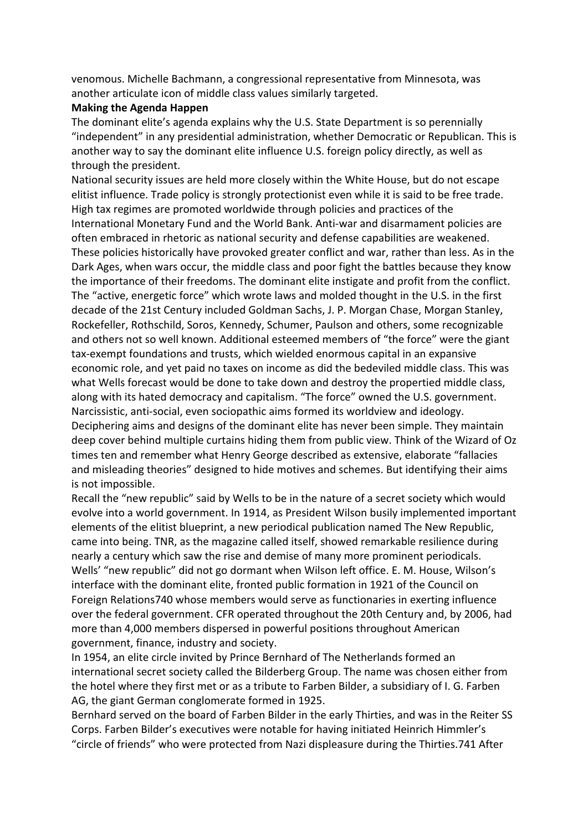venomous. Michelle Bachmann, a congressional representative from Minnesota, was another articulate icon of middle class values similarly targeted.

#### **Making the Agenda Happen**

The dominant elite's agenda explains why the U.S. State Department is so perennially "independent" in any presidential administration, whether Democratic or Republican. This is another way to say the dominant elite influence U.S. foreign policy directly, as well as through the president.

National security issues are held more closely within the White House, but do not escape elitist influence. Trade policy is strongly protectionist even while it is said to be free trade. High tax regimes are promoted worldwide through policies and practices of the International Monetary Fund and the World Bank. Anti-war and disarmament policies are often embraced in rhetoric as national security and defense capabilities are weakened. These policies historically have provoked greater conflict and war, rather than less. As in the Dark Ages, when wars occur, the middle class and poor fight the battles because they know the importance of their freedoms. The dominant elite instigate and profit from the conflict. The "active, energetic force" which wrote laws and molded thought in the U.S. in the first decade of the 21st Century included Goldman Sachs, J. P. Morgan Chase, Morgan Stanley, Rockefeller, Rothschild, Soros, Kennedy, Schumer, Paulson and others, some recognizable and others not so well known. Additional esteemed members of "the force" were the giant tax-exempt foundations and trusts, which wielded enormous capital in an expansive economic role, and yet paid no taxes on income as did the bedeviled middle class. This was what Wells forecast would be done to take down and destroy the propertied middle class, along with its hated democracy and capitalism. "The force" owned the U.S. government. Narcissistic, anti-social, even sociopathic aims formed its worldview and ideology. Deciphering aims and designs of the dominant elite has never been simple. They maintain deep cover behind multiple curtains hiding them from public view. Think of the Wizard of Oz times ten and remember what Henry George described as extensive, elaborate "fallacies and misleading theories" designed to hide motives and schemes. But identifying their aims is not impossible.

Recall the "new republic" said by Wells to be in the nature of a secret society which would evolve into a world government. In 1914, as President Wilson busily implemented important elements of the elitist blueprint, a new periodical publication named The New Republic, came into being. TNR, as the magazine called itself, showed remarkable resilience during nearly a century which saw the rise and demise of many more prominent periodicals. Wells' "new republic" did not go dormant when Wilson left office. E. M. House, Wilson's interface with the dominant elite, fronted public formation in 1921 of the Council on Foreign Relations740 whose members would serve as functionaries in exerting influence over the federal government. CFR operated throughout the 20th Century and, by 2006, had more than 4,000 members dispersed in powerful positions throughout American government, finance, industry and society.

In 1954, an elite circle invited by Prince Bernhard of The Netherlands formed an international secret society called the Bilderberg Group. The name was chosen either from the hotel where they first met or as a tribute to Farben Bilder, a subsidiary of I. G. Farben AG, the giant German conglomerate formed in 1925.

Bernhard served on the board of Farben Bilder in the early Thirties, and was in the Reiter SS Corps. Farben Bilder's executives were notable for having initiated Heinrich Himmler's "circle of friends" who were protected from Nazi displeasure during the Thirties.741 After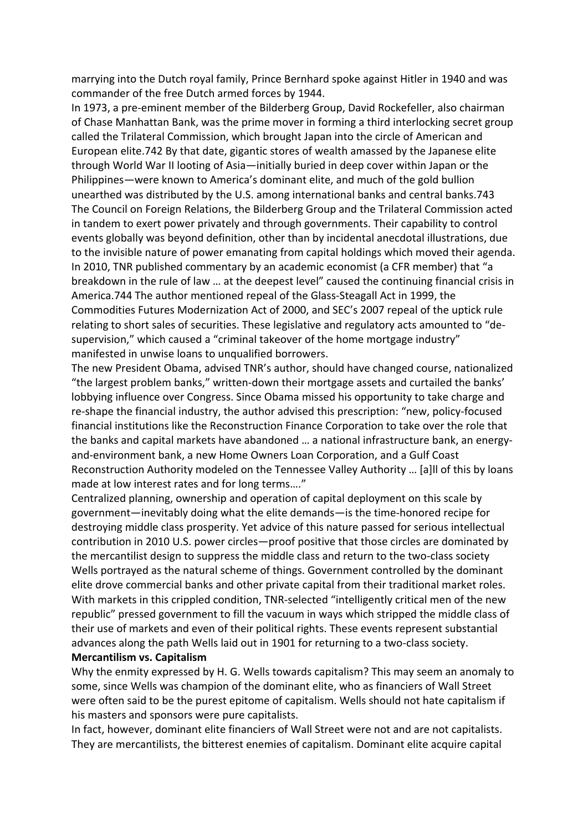marrying into the Dutch royal family, Prince Bernhard spoke against Hitler in 1940 and was commander of the free Dutch armed forces by 1944.

In 1973, a pre-eminent member of the Bilderberg Group, David Rockefeller, also chairman of Chase Manhattan Bank, was the prime mover in forming a third interlocking secret group called the Trilateral Commission, which brought Japan into the circle of American and European elite.742 By that date, gigantic stores of wealth amassed by the Japanese elite through World War II looting of Asia—initially buried in deep cover within Japan or the Philippines—were known to America's dominant elite, and much of the gold bullion unearthed was distributed by the U.S. among international banks and central banks.743 The Council on Foreign Relations, the Bilderberg Group and the Trilateral Commission acted in tandem to exert power privately and through governments. Their capability to control events globally was beyond definition, other than by incidental anecdotal illustrations, due to the invisible nature of power emanating from capital holdings which moved their agenda. In 2010, TNR published commentary by an academic economist (a CFR member) that "a breakdown in the rule of law … at the deepest level" caused the continuing financial crisis in America.744 The author mentioned repeal of the Glass-Steagall Act in 1999, the Commodities Futures Modernization Act of 2000, and SEC's 2007 repeal of the uptick rule relating to short sales of securities. These legislative and regulatory acts amounted to "desupervision," which caused a "criminal takeover of the home mortgage industry" manifested in unwise loans to unqualified borrowers.

The new President Obama, advised TNR's author, should have changed course, nationalized "the largest problem banks," written-down their mortgage assets and curtailed the banks' lobbying influence over Congress. Since Obama missed his opportunity to take charge and re-shape the financial industry, the author advised this prescription: "new, policy-focused financial institutions like the Reconstruction Finance Corporation to take over the role that the banks and capital markets have abandoned … a national infrastructure bank, an energyand-environment bank, a new Home Owners Loan Corporation, and a Gulf Coast Reconstruction Authority modeled on the Tennessee Valley Authority … [a]ll of this by loans made at low interest rates and for long terms…."

Centralized planning, ownership and operation of capital deployment on this scale by government—inevitably doing what the elite demands—is the time-honored recipe for destroying middle class prosperity. Yet advice of this nature passed for serious intellectual contribution in 2010 U.S. power circles—proof positive that those circles are dominated by the mercantilist design to suppress the middle class and return to the two-class society Wells portrayed as the natural scheme of things. Government controlled by the dominant elite drove commercial banks and other private capital from their traditional market roles. With markets in this crippled condition, TNR-selected "intelligently critical men of the new republic" pressed government to fill the vacuum in ways which stripped the middle class of their use of markets and even of their political rights. These events represent substantial advances along the path Wells laid out in 1901 for returning to a two-class society. **Mercantilism vs. Capitalism** 

Why the enmity expressed by H. G. Wells towards capitalism? This may seem an anomaly to some, since Wells was champion of the dominant elite, who as financiers of Wall Street were often said to be the purest epitome of capitalism. Wells should not hate capitalism if his masters and sponsors were pure capitalists.

In fact, however, dominant elite financiers of Wall Street were not and are not capitalists. They are mercantilists, the bitterest enemies of capitalism. Dominant elite acquire capital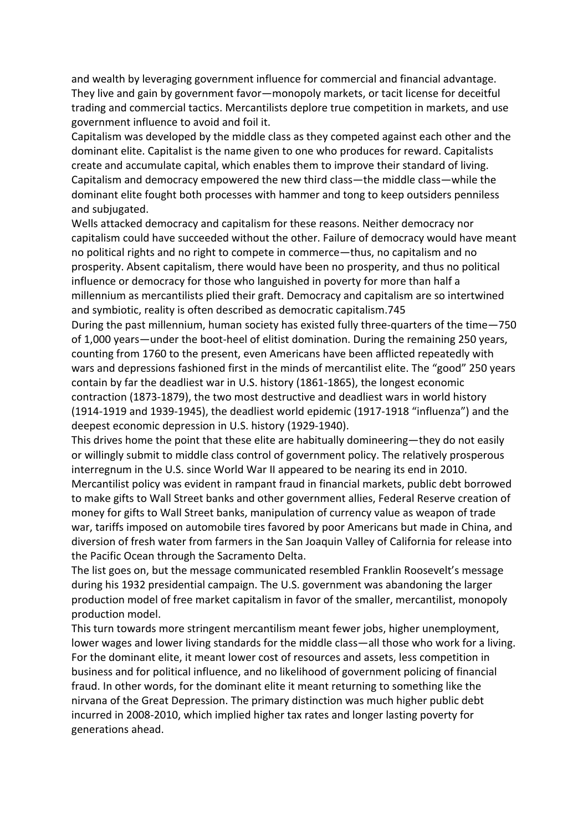and wealth by leveraging government influence for commercial and financial advantage. They live and gain by government favor—monopoly markets, or tacit license for deceitful trading and commercial tactics. Mercantilists deplore true competition in markets, and use government influence to avoid and foil it.

Capitalism was developed by the middle class as they competed against each other and the dominant elite. Capitalist is the name given to one who produces for reward. Capitalists create and accumulate capital, which enables them to improve their standard of living. Capitalism and democracy empowered the new third class—the middle class—while the dominant elite fought both processes with hammer and tong to keep outsiders penniless and subjugated.

Wells attacked democracy and capitalism for these reasons. Neither democracy nor capitalism could have succeeded without the other. Failure of democracy would have meant no political rights and no right to compete in commerce—thus, no capitalism and no prosperity. Absent capitalism, there would have been no prosperity, and thus no political influence or democracy for those who languished in poverty for more than half a millennium as mercantilists plied their graft. Democracy and capitalism are so intertwined and symbiotic, reality is often described as democratic capitalism.745

During the past millennium, human society has existed fully three-quarters of the time—750 of 1,000 years—under the boot-heel of elitist domination. During the remaining 250 years, counting from 1760 to the present, even Americans have been afflicted repeatedly with wars and depressions fashioned first in the minds of mercantilist elite. The "good" 250 years contain by far the deadliest war in U.S. history (1861-1865), the longest economic contraction (1873-1879), the two most destructive and deadliest wars in world history (1914-1919 and 1939-1945), the deadliest world epidemic (1917-1918 "influenza") and the deepest economic depression in U.S. history (1929-1940).

This drives home the point that these elite are habitually domineering—they do not easily or willingly submit to middle class control of government policy. The relatively prosperous interregnum in the U.S. since World War II appeared to be nearing its end in 2010. Mercantilist policy was evident in rampant fraud in financial markets, public debt borrowed to make gifts to Wall Street banks and other government allies, Federal Reserve creation of money for gifts to Wall Street banks, manipulation of currency value as weapon of trade war, tariffs imposed on automobile tires favored by poor Americans but made in China, and diversion of fresh water from farmers in the San Joaquin Valley of California for release into the Pacific Ocean through the Sacramento Delta.

The list goes on, but the message communicated resembled Franklin Roosevelt's message during his 1932 presidential campaign. The U.S. government was abandoning the larger production model of free market capitalism in favor of the smaller, mercantilist, monopoly production model.

This turn towards more stringent mercantilism meant fewer jobs, higher unemployment, lower wages and lower living standards for the middle class—all those who work for a living. For the dominant elite, it meant lower cost of resources and assets, less competition in business and for political influence, and no likelihood of government policing of financial fraud. In other words, for the dominant elite it meant returning to something like the nirvana of the Great Depression. The primary distinction was much higher public debt incurred in 2008-2010, which implied higher tax rates and longer lasting poverty for generations ahead.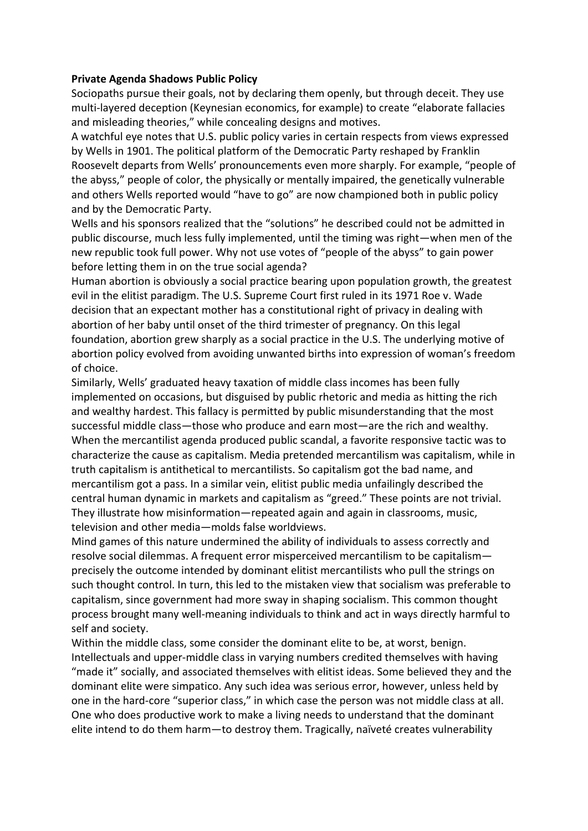### **Private Agenda Shadows Public Policy**

Sociopaths pursue their goals, not by declaring them openly, but through deceit. They use multi-layered deception (Keynesian economics, for example) to create "elaborate fallacies and misleading theories," while concealing designs and motives.

A watchful eye notes that U.S. public policy varies in certain respects from views expressed by Wells in 1901. The political platform of the Democratic Party reshaped by Franklin Roosevelt departs from Wells' pronouncements even more sharply. For example, "people of the abyss," people of color, the physically or mentally impaired, the genetically vulnerable and others Wells reported would "have to go" are now championed both in public policy and by the Democratic Party.

Wells and his sponsors realized that the "solutions" he described could not be admitted in public discourse, much less fully implemented, until the timing was right—when men of the new republic took full power. Why not use votes of "people of the abyss" to gain power before letting them in on the true social agenda?

Human abortion is obviously a social practice bearing upon population growth, the greatest evil in the elitist paradigm. The U.S. Supreme Court first ruled in its 1971 Roe v. Wade decision that an expectant mother has a constitutional right of privacy in dealing with abortion of her baby until onset of the third trimester of pregnancy. On this legal foundation, abortion grew sharply as a social practice in the U.S. The underlying motive of abortion policy evolved from avoiding unwanted births into expression of woman's freedom of choice.

Similarly, Wells' graduated heavy taxation of middle class incomes has been fully implemented on occasions, but disguised by public rhetoric and media as hitting the rich and wealthy hardest. This fallacy is permitted by public misunderstanding that the most successful middle class—those who produce and earn most—are the rich and wealthy. When the mercantilist agenda produced public scandal, a favorite responsive tactic was to characterize the cause as capitalism. Media pretended mercantilism was capitalism, while in truth capitalism is antithetical to mercantilists. So capitalism got the bad name, and mercantilism got a pass. In a similar vein, elitist public media unfailingly described the central human dynamic in markets and capitalism as "greed." These points are not trivial. They illustrate how misinformation—repeated again and again in classrooms, music, television and other media—molds false worldviews.

Mind games of this nature undermined the ability of individuals to assess correctly and resolve social dilemmas. A frequent error misperceived mercantilism to be capitalism precisely the outcome intended by dominant elitist mercantilists who pull the strings on such thought control. In turn, this led to the mistaken view that socialism was preferable to capitalism, since government had more sway in shaping socialism. This common thought process brought many well-meaning individuals to think and act in ways directly harmful to self and society.

Within the middle class, some consider the dominant elite to be, at worst, benign. Intellectuals and upper-middle class in varying numbers credited themselves with having "made it" socially, and associated themselves with elitist ideas. Some believed they and the dominant elite were simpatico. Any such idea was serious error, however, unless held by one in the hard-core "superior class," in which case the person was not middle class at all. One who does productive work to make a living needs to understand that the dominant elite intend to do them harm—to destroy them. Tragically, naïveté creates vulnerability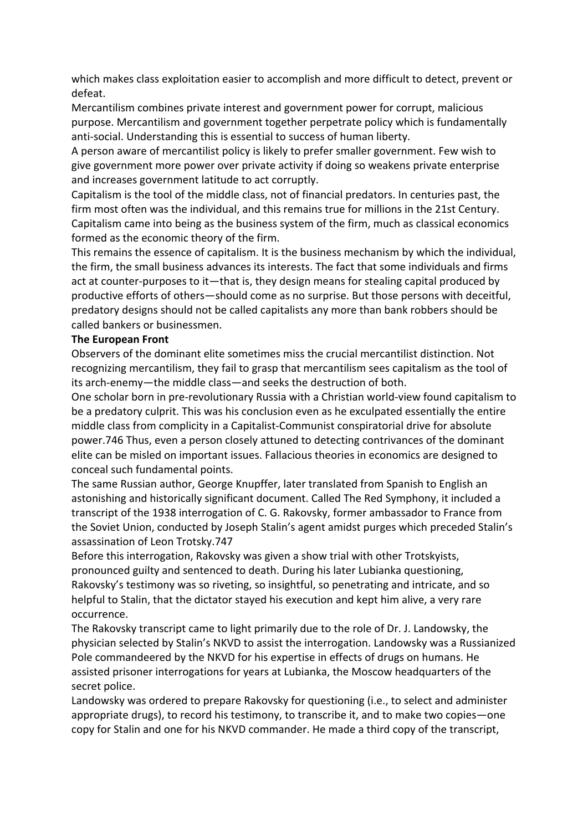which makes class exploitation easier to accomplish and more difficult to detect, prevent or defeat.

Mercantilism combines private interest and government power for corrupt, malicious purpose. Mercantilism and government together perpetrate policy which is fundamentally anti-social. Understanding this is essential to success of human liberty.

A person aware of mercantilist policy is likely to prefer smaller government. Few wish to give government more power over private activity if doing so weakens private enterprise and increases government latitude to act corruptly.

Capitalism is the tool of the middle class, not of financial predators. In centuries past, the firm most often was the individual, and this remains true for millions in the 21st Century. Capitalism came into being as the business system of the firm, much as classical economics formed as the economic theory of the firm.

This remains the essence of capitalism. It is the business mechanism by which the individual, the firm, the small business advances its interests. The fact that some individuals and firms act at counter-purposes to it—that is, they design means for stealing capital produced by productive efforts of others—should come as no surprise. But those persons with deceitful, predatory designs should not be called capitalists any more than bank robbers should be called bankers or businessmen.

## **The European Front**

Observers of the dominant elite sometimes miss the crucial mercantilist distinction. Not recognizing mercantilism, they fail to grasp that mercantilism sees capitalism as the tool of its arch-enemy—the middle class—and seeks the destruction of both.

One scholar born in pre-revolutionary Russia with a Christian world-view found capitalism to be a predatory culprit. This was his conclusion even as he exculpated essentially the entire middle class from complicity in a Capitalist-Communist conspiratorial drive for absolute power.746 Thus, even a person closely attuned to detecting contrivances of the dominant elite can be misled on important issues. Fallacious theories in economics are designed to conceal such fundamental points.

The same Russian author, George Knupffer, later translated from Spanish to English an astonishing and historically significant document. Called The Red Symphony, it included a transcript of the 1938 interrogation of C. G. Rakovsky, former ambassador to France from the Soviet Union, conducted by Joseph Stalin's agent amidst purges which preceded Stalin's assassination of Leon Trotsky.747

Before this interrogation, Rakovsky was given a show trial with other Trotskyists, pronounced guilty and sentenced to death. During his later Lubianka questioning, Rakovsky's testimony was so riveting, so insightful, so penetrating and intricate, and so helpful to Stalin, that the dictator stayed his execution and kept him alive, a very rare occurrence.

The Rakovsky transcript came to light primarily due to the role of Dr. J. Landowsky, the physician selected by Stalin's NKVD to assist the interrogation. Landowsky was a Russianized Pole commandeered by the NKVD for his expertise in effects of drugs on humans. He assisted prisoner interrogations for years at Lubianka, the Moscow headquarters of the secret police.

Landowsky was ordered to prepare Rakovsky for questioning (i.e., to select and administer appropriate drugs), to record his testimony, to transcribe it, and to make two copies—one copy for Stalin and one for his NKVD commander. He made a third copy of the transcript,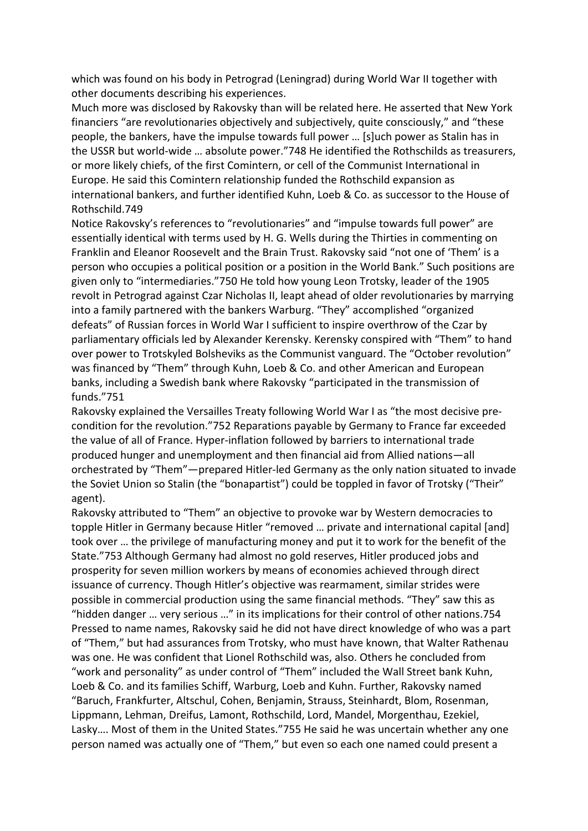which was found on his body in Petrograd (Leningrad) during World War II together with other documents describing his experiences.

Much more was disclosed by Rakovsky than will be related here. He asserted that New York financiers "are revolutionaries objectively and subjectively, quite consciously," and "these people, the bankers, have the impulse towards full power … [s]uch power as Stalin has in the USSR but world-wide … absolute power."748 He identified the Rothschilds as treasurers, or more likely chiefs, of the first Comintern, or cell of the Communist International in Europe. He said this Comintern relationship funded the Rothschild expansion as international bankers, and further identified Kuhn, Loeb & Co. as successor to the House of Rothschild.749

Notice Rakovsky's references to "revolutionaries" and "impulse towards full power" are essentially identical with terms used by H. G. Wells during the Thirties in commenting on Franklin and Eleanor Roosevelt and the Brain Trust. Rakovsky said "not one of 'Them' is a person who occupies a political position or a position in the World Bank." Such positions are given only to "intermediaries."750 He told how young Leon Trotsky, leader of the 1905 revolt in Petrograd against Czar Nicholas II, leapt ahead of older revolutionaries by marrying into a family partnered with the bankers Warburg. "They" accomplished "organized defeats" of Russian forces in World War I sufficient to inspire overthrow of the Czar by parliamentary officials led by Alexander Kerensky. Kerensky conspired with "Them" to hand over power to Trotskyled Bolsheviks as the Communist vanguard. The "October revolution" was financed by "Them" through Kuhn, Loeb & Co. and other American and European banks, including a Swedish bank where Rakovsky "participated in the transmission of funds."751

Rakovsky explained the Versailles Treaty following World War I as "the most decisive precondition for the revolution."752 Reparations payable by Germany to France far exceeded the value of all of France. Hyper-inflation followed by barriers to international trade produced hunger and unemployment and then financial aid from Allied nations—all orchestrated by "Them"—prepared Hitler-led Germany as the only nation situated to invade the Soviet Union so Stalin (the "bonapartist") could be toppled in favor of Trotsky ("Their" agent).

Rakovsky attributed to "Them" an objective to provoke war by Western democracies to topple Hitler in Germany because Hitler "removed … private and international capital [and] took over … the privilege of manufacturing money and put it to work for the benefit of the State."753 Although Germany had almost no gold reserves, Hitler produced jobs and prosperity for seven million workers by means of economies achieved through direct issuance of currency. Though Hitler's objective was rearmament, similar strides were possible in commercial production using the same financial methods. "They" saw this as "hidden danger … very serious …" in its implications for their control of other nations.754 Pressed to name names, Rakovsky said he did not have direct knowledge of who was a part of "Them," but had assurances from Trotsky, who must have known, that Walter Rathenau was one. He was confident that Lionel Rothschild was, also. Others he concluded from "work and personality" as under control of "Them" included the Wall Street bank Kuhn, Loeb & Co. and its families Schiff, Warburg, Loeb and Kuhn. Further, Rakovsky named "Baruch, Frankfurter, Altschul, Cohen, Benjamin, Strauss, Steinhardt, Blom, Rosenman, Lippmann, Lehman, Dreifus, Lamont, Rothschild, Lord, Mandel, Morgenthau, Ezekiel, Lasky…. Most of them in the United States."755 He said he was uncertain whether any one person named was actually one of "Them," but even so each one named could present a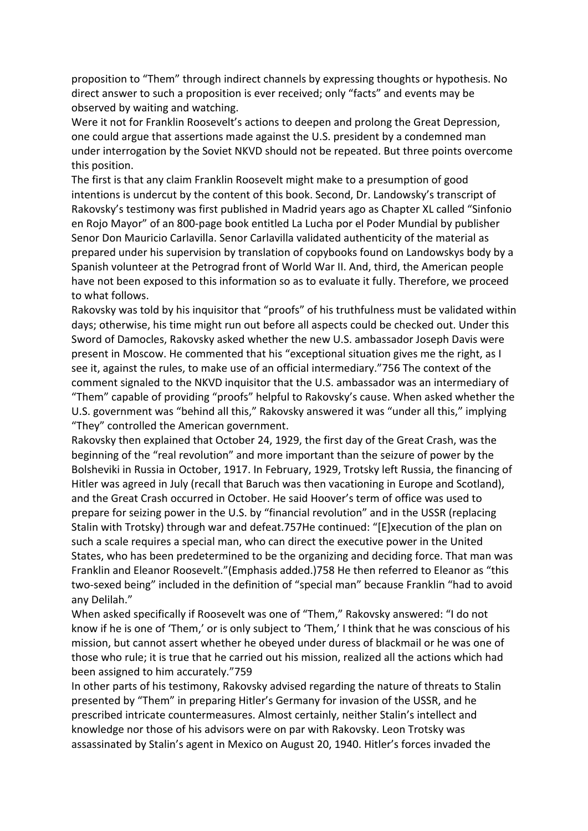proposition to "Them" through indirect channels by expressing thoughts or hypothesis. No direct answer to such a proposition is ever received; only "facts" and events may be observed by waiting and watching.

Were it not for Franklin Roosevelt's actions to deepen and prolong the Great Depression, one could argue that assertions made against the U.S. president by a condemned man under interrogation by the Soviet NKVD should not be repeated. But three points overcome this position.

The first is that any claim Franklin Roosevelt might make to a presumption of good intentions is undercut by the content of this book. Second, Dr. Landowsky's transcript of Rakovsky's testimony was first published in Madrid years ago as Chapter XL called "Sinfonio en Rojo Mayor" of an 800-page book entitled La Lucha por el Poder Mundial by publisher Senor Don Mauricio Carlavilla. Senor Carlavilla validated authenticity of the material as prepared under his supervision by translation of copybooks found on Landowskys body by a Spanish volunteer at the Petrograd front of World War II. And, third, the American people have not been exposed to this information so as to evaluate it fully. Therefore, we proceed to what follows.

Rakovsky was told by his inquisitor that "proofs" of his truthfulness must be validated within days; otherwise, his time might run out before all aspects could be checked out. Under this Sword of Damocles, Rakovsky asked whether the new U.S. ambassador Joseph Davis were present in Moscow. He commented that his "exceptional situation gives me the right, as I see it, against the rules, to make use of an official intermediary."756 The context of the comment signaled to the NKVD inquisitor that the U.S. ambassador was an intermediary of "Them" capable of providing "proofs" helpful to Rakovsky's cause. When asked whether the U.S. government was "behind all this," Rakovsky answered it was "under all this," implying "They" controlled the American government.

Rakovsky then explained that October 24, 1929, the first day of the Great Crash, was the beginning of the "real revolution" and more important than the seizure of power by the Bolsheviki in Russia in October, 1917. In February, 1929, Trotsky left Russia, the financing of Hitler was agreed in July (recall that Baruch was then vacationing in Europe and Scotland), and the Great Crash occurred in October. He said Hoover's term of office was used to prepare for seizing power in the U.S. by "financial revolution" and in the USSR (replacing Stalin with Trotsky) through war and defeat.757He continued: "[E]xecution of the plan on such a scale requires a special man, who can direct the executive power in the United States, who has been predetermined to be the organizing and deciding force. That man was Franklin and Eleanor Roosevelt."(Emphasis added.)758 He then referred to Eleanor as "this two-sexed being" included in the definition of "special man" because Franklin "had to avoid any Delilah."

When asked specifically if Roosevelt was one of "Them," Rakovsky answered: "I do not know if he is one of 'Them,' or is only subject to 'Them,' I think that he was conscious of his mission, but cannot assert whether he obeyed under duress of blackmail or he was one of those who rule; it is true that he carried out his mission, realized all the actions which had been assigned to him accurately."759

In other parts of his testimony, Rakovsky advised regarding the nature of threats to Stalin presented by "Them" in preparing Hitler's Germany for invasion of the USSR, and he prescribed intricate countermeasures. Almost certainly, neither Stalin's intellect and knowledge nor those of his advisors were on par with Rakovsky. Leon Trotsky was assassinated by Stalin's agent in Mexico on August 20, 1940. Hitler's forces invaded the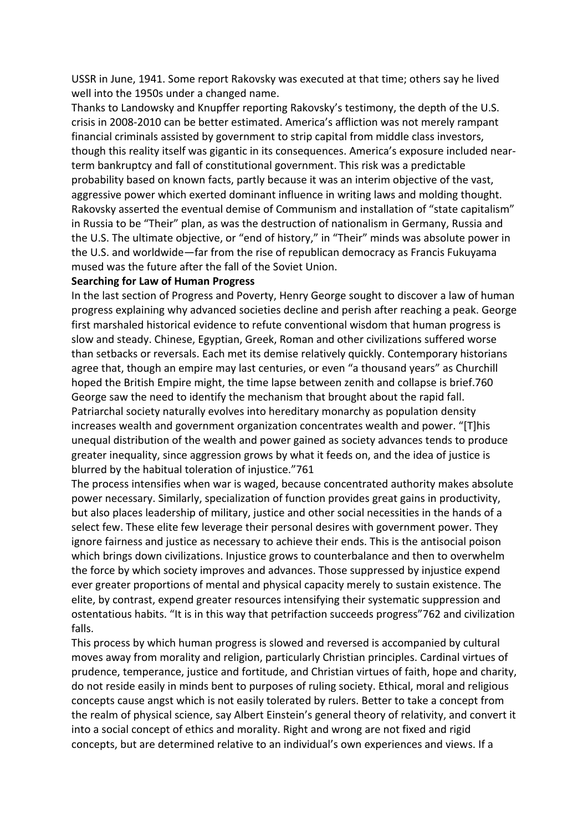USSR in June, 1941. Some report Rakovsky was executed at that time; others say he lived well into the 1950s under a changed name.

Thanks to Landowsky and Knupffer reporting Rakovsky's testimony, the depth of the U.S. crisis in 2008-2010 can be better estimated. America's affliction was not merely rampant financial criminals assisted by government to strip capital from middle class investors, though this reality itself was gigantic in its consequences. America's exposure included nearterm bankruptcy and fall of constitutional government. This risk was a predictable probability based on known facts, partly because it was an interim objective of the vast, aggressive power which exerted dominant influence in writing laws and molding thought. Rakovsky asserted the eventual demise of Communism and installation of "state capitalism" in Russia to be "Their" plan, as was the destruction of nationalism in Germany, Russia and the U.S. The ultimate objective, or "end of history," in "Their" minds was absolute power in the U.S. and worldwide—far from the rise of republican democracy as Francis Fukuyama mused was the future after the fall of the Soviet Union.

### **Searching for Law of Human Progress**

In the last section of Progress and Poverty, Henry George sought to discover a law of human progress explaining why advanced societies decline and perish after reaching a peak. George first marshaled historical evidence to refute conventional wisdom that human progress is slow and steady. Chinese, Egyptian, Greek, Roman and other civilizations suffered worse than setbacks or reversals. Each met its demise relatively quickly. Contemporary historians agree that, though an empire may last centuries, or even "a thousand years" as Churchill hoped the British Empire might, the time lapse between zenith and collapse is brief.760 George saw the need to identify the mechanism that brought about the rapid fall. Patriarchal society naturally evolves into hereditary monarchy as population density increases wealth and government organization concentrates wealth and power. "[T]his unequal distribution of the wealth and power gained as society advances tends to produce greater inequality, since aggression grows by what it feeds on, and the idea of justice is blurred by the habitual toleration of injustice."761

The process intensifies when war is waged, because concentrated authority makes absolute power necessary. Similarly, specialization of function provides great gains in productivity, but also places leadership of military, justice and other social necessities in the hands of a select few. These elite few leverage their personal desires with government power. They ignore fairness and justice as necessary to achieve their ends. This is the antisocial poison which brings down civilizations. Injustice grows to counterbalance and then to overwhelm the force by which society improves and advances. Those suppressed by injustice expend ever greater proportions of mental and physical capacity merely to sustain existence. The elite, by contrast, expend greater resources intensifying their systematic suppression and ostentatious habits. "It is in this way that petrifaction succeeds progress"762 and civilization falls.

This process by which human progress is slowed and reversed is accompanied by cultural moves away from morality and religion, particularly Christian principles. Cardinal virtues of prudence, temperance, justice and fortitude, and Christian virtues of faith, hope and charity, do not reside easily in minds bent to purposes of ruling society. Ethical, moral and religious concepts cause angst which is not easily tolerated by rulers. Better to take a concept from the realm of physical science, say Albert Einstein's general theory of relativity, and convert it into a social concept of ethics and morality. Right and wrong are not fixed and rigid concepts, but are determined relative to an individual's own experiences and views. If a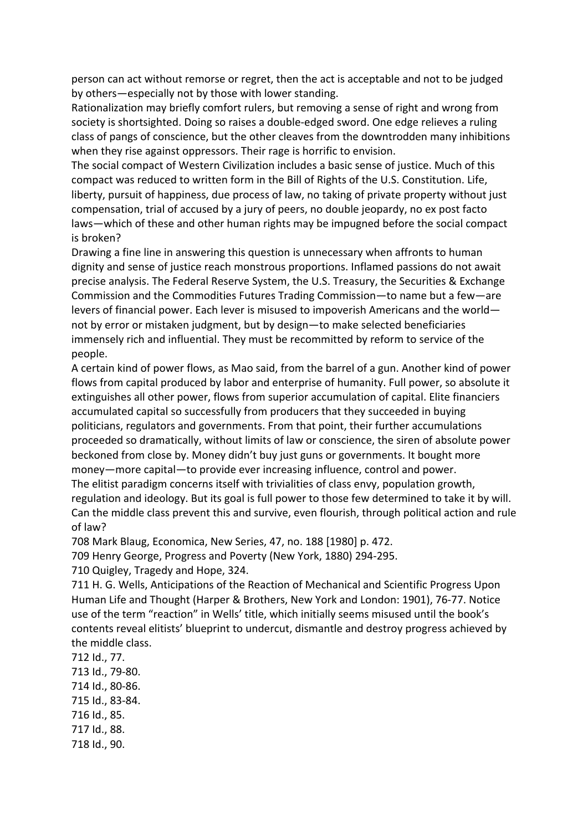person can act without remorse or regret, then the act is acceptable and not to be judged by others—especially not by those with lower standing.

Rationalization may briefly comfort rulers, but removing a sense of right and wrong from society is shortsighted. Doing so raises a double-edged sword. One edge relieves a ruling class of pangs of conscience, but the other cleaves from the downtrodden many inhibitions when they rise against oppressors. Their rage is horrific to envision.

The social compact of Western Civilization includes a basic sense of justice. Much of this compact was reduced to written form in the Bill of Rights of the U.S. Constitution. Life, liberty, pursuit of happiness, due process of law, no taking of private property without just compensation, trial of accused by a jury of peers, no double jeopardy, no ex post facto laws—which of these and other human rights may be impugned before the social compact is broken?

Drawing a fine line in answering this question is unnecessary when affronts to human dignity and sense of justice reach monstrous proportions. Inflamed passions do not await precise analysis. The Federal Reserve System, the U.S. Treasury, the Securities & Exchange Commission and the Commodities Futures Trading Commission—to name but a few—are levers of financial power. Each lever is misused to impoverish Americans and the world not by error or mistaken judgment, but by design—to make selected beneficiaries immensely rich and influential. They must be recommitted by reform to service of the people.

A certain kind of power flows, as Mao said, from the barrel of a gun. Another kind of power flows from capital produced by labor and enterprise of humanity. Full power, so absolute it extinguishes all other power, flows from superior accumulation of capital. Elite financiers accumulated capital so successfully from producers that they succeeded in buying politicians, regulators and governments. From that point, their further accumulations proceeded so dramatically, without limits of law or conscience, the siren of absolute power beckoned from close by. Money didn't buy just guns or governments. It bought more money—more capital—to provide ever increasing influence, control and power. The elitist paradigm concerns itself with trivialities of class envy, population growth, regulation and ideology. But its goal is full power to those few determined to take it by will. Can the middle class prevent this and survive, even flourish, through political action and rule of law?

708 Mark Blaug, Economica, New Series, 47, no. 188 [1980] p. 472.

709 Henry George, Progress and Poverty (New York, 1880) 294-295.

710 Quigley, Tragedy and Hope, 324.

711 H. G. Wells, Anticipations of the Reaction of Mechanical and Scientific Progress Upon Human Life and Thought (Harper & Brothers, New York and London: 1901), 76-77. Notice use of the term "reaction" in Wells' title, which initially seems misused until the book's contents reveal elitists' blueprint to undercut, dismantle and destroy progress achieved by the middle class.

712 Id., 77. 713 Id., 79-80. 714 Id., 80-86. 715 Id., 83-84. 716 Id., 85. 717 Id., 88. 718 Id., 90.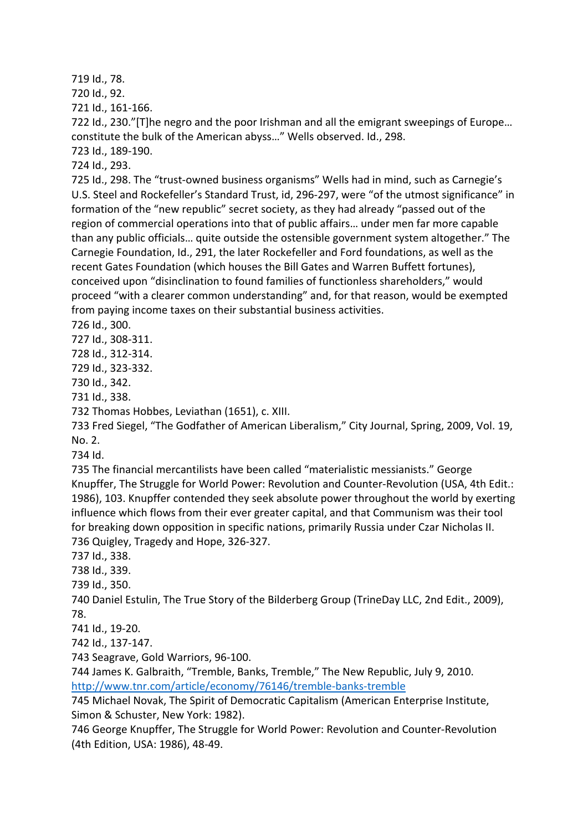# 719 Id., 78.

720 Id., 92.

721 Id., 161-166.

722 Id., 230."[T]he negro and the poor Irishman and all the emigrant sweepings of Europe… constitute the bulk of the American abyss…" Wells observed. Id., 298.

723 Id., 189-190.

724 Id., 293.

725 Id., 298. The "trust-owned business organisms" Wells had in mind, such as Carnegie's U.S. Steel and Rockefeller's Standard Trust, id, 296-297, were "of the utmost significance" in formation of the "new republic" secret society, as they had already "passed out of the region of commercial operations into that of public affairs… under men far more capable than any public officials… quite outside the ostensible government system altogether." The Carnegie Foundation, Id., 291, the later Rockefeller and Ford foundations, as well as the recent Gates Foundation (which houses the Bill Gates and Warren Buffett fortunes), conceived upon "disinclination to found families of functionless shareholders," would proceed "with a clearer common understanding" and, for that reason, would be exempted from paying income taxes on their substantial business activities.

726 Id., 300.

727 Id., 308-311.

728 Id., 312-314.

729 Id., 323-332.

730 Id., 342.

731 Id., 338.

732 Thomas Hobbes, Leviathan (1651), c. XIII.

733 Fred Siegel, "The Godfather of American Liberalism," City Journal, Spring, 2009, Vol. 19, No. 2.

734 Id.

735 The financial mercantilists have been called "materialistic messianists." George Knupffer, The Struggle for World Power: Revolution and Counter-Revolution (USA, 4th Edit.: 1986), 103. Knupffer contended they seek absolute power throughout the world by exerting influence which flows from their ever greater capital, and that Communism was their tool for breaking down opposition in specific nations, primarily Russia under Czar Nicholas II. 736 Quigley, Tragedy and Hope, 326-327.

737 Id., 338.

738 Id., 339.

739 Id., 350.

740 Daniel Estulin, The True Story of the Bilderberg Group (TrineDay LLC, 2nd Edit., 2009), 78.

741 Id., 19-20.

742 Id., 137-147.

743 Seagrave, Gold Warriors, 96-100.

744 James K. Galbraith, "Tremble, Banks, Tremble," The New Republic, July 9, 2010. http://www.tnr.com/article/economy/76146/tremble-banks-tremble

745 Michael Novak, The Spirit of Democratic Capitalism (American Enterprise Institute, Simon & Schuster, New York: 1982).

746 George Knupffer, The Struggle for World Power: Revolution and Counter-Revolution (4th Edition, USA: 1986), 48-49.